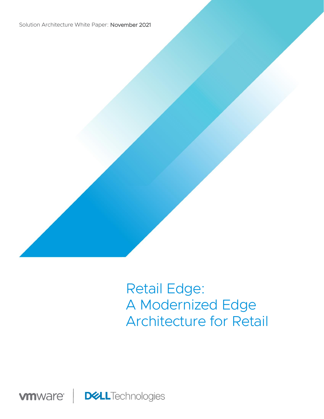Solution Architecture White Paper: November 2021



# Retail Edge: A Modernized Edge Architecture for Retail

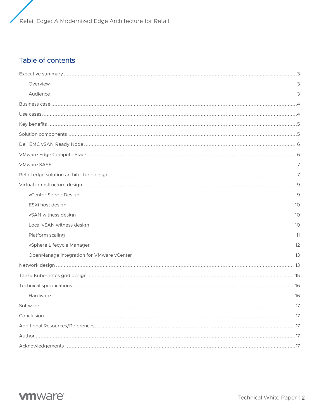Retail Edge: A Modernized Edge Architecture for Retail

# Table of contents

| Overview                                  | 3   |
|-------------------------------------------|-----|
| Audience                                  | 3   |
|                                           |     |
|                                           |     |
|                                           |     |
|                                           |     |
|                                           |     |
|                                           |     |
|                                           |     |
|                                           |     |
|                                           |     |
| vCenter Server Design                     | 9   |
| ESXi host design                          | 10  |
| vSAN witness design                       | 10  |
| Local vSAN witness design                 | 10  |
| Platform scaling                          | 11  |
| vSphere Lifecycle Manager                 | 12  |
| OpenManage integration for VMware vCenter | 13  |
|                                           |     |
|                                           |     |
|                                           |     |
| Hardware                                  | 16  |
|                                           | .17 |
|                                           |     |
|                                           |     |
|                                           |     |
|                                           |     |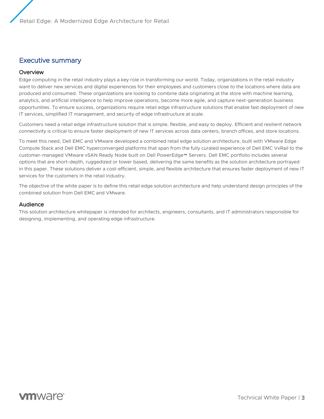# Executive summary

#### **Overview**

Edge computing in the retail industry plays a key role in transforming our world. Today, organizations in the retail industry want to deliver new services and digital experiences for their employees and customers close to the locations where data are produced and consumed. These organizations are looking to combine data originating at the store with machine learning, analytics, and artificial intelligence to help improve operations, become more agile, and capture next-generation business opportunities. To ensure success, organizations require retail edge infrastructure solutions that enable fast deployment of new IT services, simplified IT management, and security of edge infrastructure at scale.

Customers need a retail edge infrastructure solution that is simple, flexible, and easy to deploy. Efficient and resilient network connectivity is critical to ensure faster deployment of new IT services across data centers, branch offices, and store locations.

To meet this need, Dell EMC and VMware developed a combined retail edge solution architecture, built with VMware Edge Compute Stack and Dell EMC hyperconverged platforms that span from the fully curated experience of Dell EMC VxRail to the customer-managed VMware vSAN Ready Node built on Dell PowerEdge™ Servers. Dell EMC portfolio includes several options that are short-depth, ruggedized or tower based, delivering the same benefits as the solution architecture portrayed in this paper. These solutions deliver a cost-efficient, simple, and flexible architecture that ensures faster deployment of new IT services for the customers in the retail industry.

The objective of the white paper is to define this retail edge solution architecture and help understand design principles of the combined solution from Dell EMC and VMware.

#### Audience

This solution architecture whitepaper is intended for architects, engineers, consultants, and IT administrators responsible for designing, implementing, and operating edge infrastructure.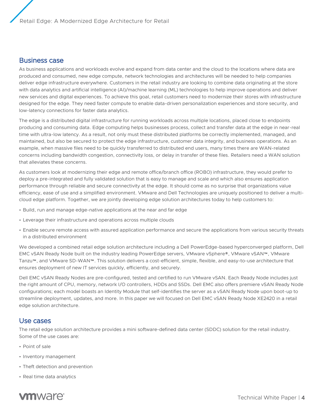### Business case

As business applications and workloads evolve and expand from data center and the cloud to the locations where data are produced and consumed, new edge compute, network technologies and architectures will be needed to help companies deliver edge infrastructure everywhere. Customers in the retail industry are looking to combine data originating at the store with data analytics and artificial intelligence (AI)/machine learning (ML) technologies to help improve operations and deliver new services and digital experiences. To achieve this goal, retail customers need to modernize their stores with infrastructure designed for the edge. They need faster compute to enable data-driven personalization experiences and store security, and low-latency connections for faster data analytics.

The edge is a distributed digital infrastructure for running workloads across multiple locations, placed close to endpoints producing and consuming data. Edge computing helps businesses process, collect and transfer data at the edge in near-real time with ultra-low latency. As a result, not only must these distributed platforms be correctly implemented, managed, and maintained, but also be secured to protect the edge infrastructure, customer data integrity, and business operations. As an example, when massive files need to be quickly transferred to distributed end users, many times there are WAN-related concerns including bandwidth congestion, connectivity loss, or delay in transfer of these files. Retailers need a WAN solution that alleviates these concerns.

As customers look at modernizing their edge and remote office/branch office (ROBO) infrastructure, they would prefer to deploy a pre-integrated and fully validated solution that is easy to manage and scale and which also ensures application performance through reliable and secure connectivity at the edge. It should come as no surprise that organizations value efficiency, ease of use and a simplified environment. VMware and Dell Technologies are uniquely positioned to deliver a multicloud edge platform. Together, we are jointly developing edge solution architectures today to help customers to:

- Build, run and manage edge-native applications at the near and far edge
- Leverage their infrastructure and operations across multiple clouds
- Enable secure remote access with assured application performance and secure the applications from various security threats in a distributed environment

We developed a combined retail edge solution architecture including a Dell PowerEdge-based hyperconverged platform, Dell EMC vSAN Ready Node built on the industry leading PowerEdge servers, VMware vSphere®, VMware vSAN™, VMware Tanzu™, and VMware SD-WAN™. This solution delivers a cost-efficient, simple, flexible, and easy-to-use architecture that ensures deployment of new IT services quickly, efficiently, and securely.

Dell EMC vSAN Ready Nodes are pre-configured, tested and certified to run VMware vSAN. Each Ready Node includes just the right amount of CPU, memory, network I/O controllers, HDDs and SSDs. Dell EMC also offers premiere vSAN Ready Node configurations; each model boasts an Identity Module that self-identifies the server as a vSAN Ready Node upon boot-up to streamline deployment, updates, and more. In this paper we will focused on Dell EMC vSAN Ready Node XE2420 in a retail edge solution architecture.

# Use cases

The retail edge solution architecture provides a mini software-defined data center (SDDC) solution for the retail industry. Some of the use cases are:

- Point of sale
- Inventory management
- Theft detection and prevention
- Real time data analytics

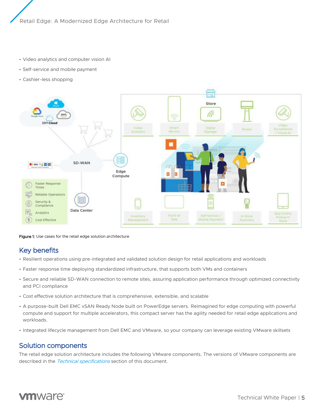- Video analytics and computer vision AI
- Self-service and mobile payment
- Cashier-less shopping



Figure 1: Use cases for the retail edge solution architecture

# Key benefits

- Resilient operations using pre-integrated and validated solution design for retail applications and workloads
- Faster response time deploying standardized infrastructure, that supports both VMs and containers
- Secure and reliable SD-WAN connection to remote sites, assuring application performance through optimized connectivity and PCI compliance
- Cost effective solution architecture that is comprehensive, extensible, and scalable
- A purpose-built Dell EMC vSAN Ready Node built on PowerEdge servers. Reimagined for edge computing with powerful compute and support for multiple accelerators, this compact server has the agility needed for retail edge applications and workloads.
- Integrated lifecycle management from Dell EMC and VMware, so your company can leverage existing VMware skillsets

# Solution components

The retail edge solution architecture includes the following VMware components. The versions of VMware components are described in the [Technical specifications](#page-15-0) section of this document.

# **vm**ware<sup>®</sup>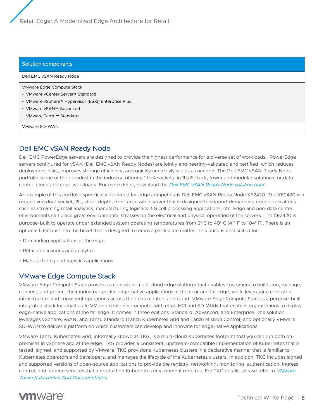#### Solution components

Dell EMC vSAN Ready Node VMware Edge Compute Stack • VMware vCenter Server® Standard • VMware vSphere® Hypervisor (ESXi) Enterprise Plus • VMware vSAN™ Advanced • VMware Tanzu™ Standard VMware SD-WAN

# Dell EMC vSAN Ready Node

Dell EMC PowerEdge servers are designed to provide the highest performance for a diverse set of workloads. PowerEdge servers configured for vSAN (Dell EMC vSAN Ready Nodes) are jointly engineering-validated and certified, which reduces deployment risks, improves storage efficiency, and quickly and easily scales as needed. The Dell EMC vSAN Ready Node portfolio is one of the broadest in the industry, offering 1 to 4 sockets, in 1U/2U rack, tower and modular solutions for data center, cloud and edge workloads. For more detail, download the [Dell EMC vSAN Ready Node solution brief](https://www.delltechnologies.com/asset/en-us/products/servers/briefs-summaries/poweredge-vsan-ready-nodes-solution-brief.pdf).

An example of this portfolio specifically designed for edge computing is Dell EMC vSAN Ready Node XE2420. The XE2420 is a ruggedized dual-socket, 2U, short-depth, front-accessible server that is designed to support demanding edge applications such as streaming retail analytics, manufacturing logistics, 5G cell processing applications, etc. Edge and non-data center environments can place great environmental stresses on the electrical and physical operation of the servers. The XE2420 is purpose-built to operate under extended system operating temperatures from 5° C to 40° C (41° F to 104° F). There is an optional filter built into the bezel that is designed to remove particulate matter. This build is best suited for:

- Demanding applications at the edge
- Retail applications and analytics
- Manufacturing and logistics applications

# VMware Edge Compute Stack

VMware Edge Compute Stack provides a consistent multi-cloud edge platform that enables customers to build, run, manage, connect, and protect their industry-specific edge-native applications at the near and far edge, while leveraging consistent infrastructure and consistent operations across their data centers and cloud. VMware Edge Compute Stack is a purpose-built integrated stack for small scale VM and container compute, with edge HCI and SD-WAN that enables organizations to deploy edge-native applications at the far edge. It comes in three editions: Standard, Advanced, and Enterprise. The solution leverages vSphere, vSAN, and Tanzu Standard (Tanzu Kubernetes Grid and Tanzu Mission Control) and optionally VMware SD-WAN to deliver a platform on which customers can develop and innovate for edge-native applications.

VMware Tanzu Kubernetes Grid, informally known as TKG, is a multi-cloud Kubernetes footprint that you can run both onpremises in vSphere and at the edge. TKG provides a consistent, upstream-compatible implementation of Kubernetes that is tested, signed, and supported by VMware. TKG provisions Kubernetes clusters in a declarative manner that is familiar to Kubernetes operators and developers, and manages the lifecycle of the Kubernetes clusters. In addition, TKG includes signed and supported versions of open-source applications to provide the registry, networking, monitoring, authentication, ingress control, and logging services that a production Kubernetes environment requires. For TKG details, please refer to VMware [Tanzu Kubernetes Grid Documentation](https://docs.vmware.com/en/VMware-Tanzu-Kubernetes-Grid/1.2/vmware-tanzu-kubernetes-grid-12/GUID-index.html).

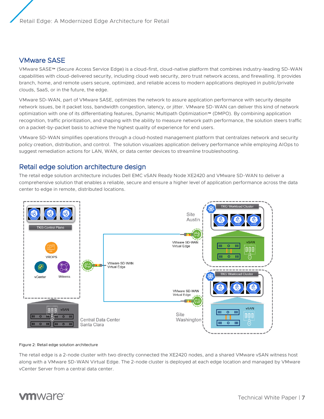# VMware SASE

VMware SASE™ (Secure Access Service Edge) is a cloud-first, cloud-native platform that combines industry-leading SD-WAN capabilities with cloud-delivered security, including cloud web security, zero trust network access, and firewalling. It provides branch, home, and remote users secure, optimized, and reliable access to modern applications deployed in public/private clouds, SaaS, or in the future, the edge.

VMware SD-WAN, part of VMware SASE, optimizes the network to assure application performance with security despite network issues, be it packet loss, bandwidth congestion, latency, or jitter. VMware SD-WAN can deliver this kind of network optimization with one of its differentiating features, Dynamic Multipath Optimization™ (DMPO). By combining application recognition, traffic prioritization, and shaping with the ability to measure network path performance, the solution steers traffic on a packet-by-packet basis to achieve the highest quality of experience for end users.

VMware SD-WAN simplifies operations through a cloud-hosted management platform that centralizes network and security policy creation, distribution, and control. The solution visualizes application delivery performance while employing AIOps to suggest remediation actions for LAN, WAN, or data center devices to streamline troubleshooting.

# Retail edge solution architecture design

The retail edge solution architecture includes Dell EMC vSAN Ready Node XE2420 and VMware SD-WAN to deliver a comprehensive solution that enables a reliable, secure and ensure a higher level of application performance across the data center to edge in remote, distributed locations.



#### Figure 2: Retail edge solution architecture

The retail edge is a 2-node cluster with two directly connected the XE2420 nodes, and a shared VMware vSAN witness host along with a VMware SD-WAN Virtual Edge. The 2-node cluster is deployed at each edge location and managed by VMware vCenter Server from a central data center.

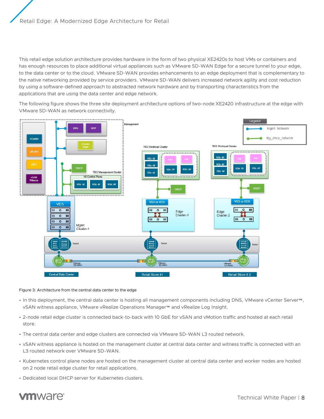This retail edge solution architecture provides hardware in the form of two physical XE2420s to host VMs or containers and has enough resources to place additional virtual appliances such as VMware SD-WAN Edge for a secure tunnel to your edge, to the data center or to the cloud. VMware SD-WAN provides enhancements to an edge deployment that is complementary to the native networking provided by service providers. VMware SD-WAN delivers increased network agility and cost reduction by using a software-defined approach to abstracted network hardware and by transporting characteristics from the applications that are using the data center and edge network.

The following figure shows the three site deployment architecture options of two-node XE2420 infrastructure at the edge with VMware SD-WAN as network connectivity.



#### <span id="page-7-0"></span>Figure 3: Architecture from the central data center to the edge

- In this deployment, the central data center is hosting all management components including DNS, VMware vCenter Server™, vSAN witness appliance, VMware vRealize Operations Manager™ and vRealize Log Insight.
- 2-node retail edge cluster is connected back-to-back with 10 GbE for vSAN and vMotion traffic and hosted at each retail store.
- The central data center and edge clusters are connected via VMware SD-WAN L3 routed network.
- vSAN witness appliance is hosted on the management cluster at central data center and witness traffic is connected with an L3 routed network over VMware SD-WAN.
- Kubernetes control plane nodes are hosted on the management cluster at central data center and worker nodes are hosted on 2 node retail edge cluster for retail applications.
- Dedicated local DHCP server for Kubernetes clusters.

# **vm**ware<sup>®</sup>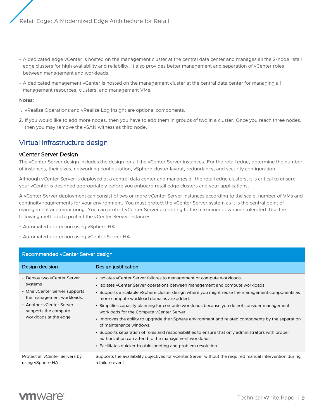- A dedicated edge vCenter is hosted on the management cluster at the central data center and manages all the 2-node retail edge clusters for high availability and reliability. It also provides better management and separation of vCenter roles between management and workloads.
- A dedicated management vCenter is hosted on the management cluster at the central data center for managing all management resources, clusters, and management VMs.

#### Notes:

- 1. vRealize Operations and vRealize Log Insight are optional components.
- 2. If you would like to add more nodes, then you have to add them in groups of two in a cluster. Once you reach three nodes, then you may remove the vSAN witness as third node.

# Virtual infrastructure design

#### vCenter Server Design

The vCenter Server design includes the design for all the vCenter Server instances. For the retail edge, determine the number of instances, their sizes, networking configuration, vSphere cluster layout, redundancy, and security configuration.

Although vCenter Server is deployed at a central data center and manages all the retail edge clusters, it is critical to ensure your vCenter is designed appropriately before you onboard retail edge clusters and your applications.

A vCenter Server deployment can consist of two or more vCenter Server instances according to the scale, number of VMs and continuity requirements for your environment. You must protect the vCenter Server system as it is the central point of management and monitoring. You can protect vCenter Server according to the maximum downtime tolerated. Use the following methods to protect the vCenter Server instances:

- Automated protection using vSphere HA
- Automated protection using vCenter Server HA

| Recommended vCenter Server design                                                                                                                                                 |                                                                                                                                                                                                                                                                                                                                                                                                                                                                                                                                                                                                                                                                                                                                                                                                                       |  |
|-----------------------------------------------------------------------------------------------------------------------------------------------------------------------------------|-----------------------------------------------------------------------------------------------------------------------------------------------------------------------------------------------------------------------------------------------------------------------------------------------------------------------------------------------------------------------------------------------------------------------------------------------------------------------------------------------------------------------------------------------------------------------------------------------------------------------------------------------------------------------------------------------------------------------------------------------------------------------------------------------------------------------|--|
| Design decision                                                                                                                                                                   | Design justification                                                                                                                                                                                                                                                                                                                                                                                                                                                                                                                                                                                                                                                                                                                                                                                                  |  |
| • Deploy two vCenter Server<br>systems<br>• One vCenter Server supports<br>the management workloads.<br>• Another yCenter Server<br>supports the compute<br>workloads at the edge | · Isolates vCenter Server failures to management or compute workloads.<br>• Isolates vCenter Server operations between management and compute workloads.<br>• Supports a scalable vSphere cluster design where you might reuse the management components as<br>more compute workload domains are added.<br>• Simplifies capacity planning for compute workloads because you do not consider management<br>workloads for the Compute y Center Server.<br>• Improves the ability to upgrade the vSphere environment and related components by the separation<br>of maintenance windows.<br>• Supports separation of roles and responsibilities to ensure that only administrators with proper<br>authorization can attend to the management workloads.<br>• Facilitates quicker troubleshooting and problem resolution. |  |
| Protect all vCenter Servers by<br>using vSphere HA                                                                                                                                | Supports the availability objectives for vCenter Server without the required manual intervention during<br>a failure event                                                                                                                                                                                                                                                                                                                                                                                                                                                                                                                                                                                                                                                                                            |  |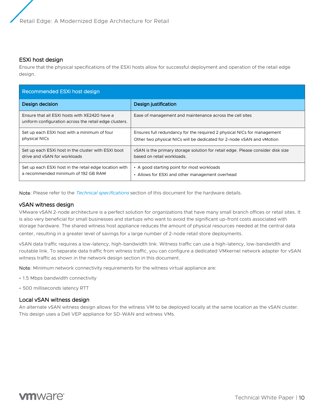#### ESXi host design

Ensure that the physical specifications of the ESXi hosts allow for successful deployment and operation of the retail edge design.

| Recommended ESXi host design                                                                            |                                                                                 |  |
|---------------------------------------------------------------------------------------------------------|---------------------------------------------------------------------------------|--|
| Design decision                                                                                         | Design justification                                                            |  |
| Ensure that all ESXi hosts with XE2420 have a<br>uniform configuration across the retail edge clusters. | Ease of management and maintenance across the cell sites                        |  |
| Set up each ESXI host with a minimum of four                                                            | Ensures full redundancy for the required 2 physical NICs for management         |  |
| physical NICs                                                                                           | Other two physical NICs will be dedicated for 2-node vSAN and vMotion           |  |
| Set up each ESXI host in the cluster with ESXI boot                                                     | vSAN is the primary storage solution for retail edge. Please consider disk size |  |
| drive and vSAN for workloads                                                                            | based on retail workloads.                                                      |  |
| Set up each ESXI host in the retail edge location with                                                  | • A good starting point for most workloads                                      |  |
| a recommended minimum of 192 GB RAM                                                                     | • Allows for ESXi and other management overhead                                 |  |

Note: Please refer to the *[Technical specifications](#page-15-0)* section of this document for the hardware details.

#### vSAN witness design

VMware vSAN 2-node architecture is a perfect solution for organizations that have many small branch offices or retail sites. It is also very beneficial for small businesses and startups who want to avoid the significant up-front costs associated with storage hardware. The shared witness host appliance reduces the amount of physical resources needed at the central data center, resulting in a greater level of savings for а large number of 2-node retail store deployments.

vSAN data traffic requires a low-latency, high-bandwidth link. Witness traffic can use a high-latency, low-bandwidth and routable link. To separate data traffic from witness traffic, you can configure a dedicated VMkernel network adapter for vSAN witness traffic as shown in the network design section in this document.

Note: Minimum network connectivity requirements for the witness virtual appliance are:

- 1.5 Mbps bandwidth connectivity
- 500 milliseconds latency RTT

#### Local vSAN witness design

An alternate vSAN witness design allows for the witness VM to be deployed locally at the same location as the vSAN cluster. This design uses a Dell VEP appliance for SD-WAN and witness VMs.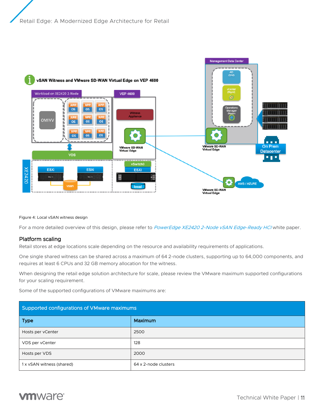

#### Figure 4: Local vSAN witness design

For a more detailed overview of this design, please refer to [PowerEdge XE2420 2-Node vSAN Edge-Ready HCI](https://www.delltechnologies.com/asset/he-il/products/servers/industry-market/wp-xe2420-vsan-edge.pdf) white paper.

#### Platform scaling

Retail stores at edge locations scale depending on the resource and availability requirements of applications.

One single shared witness can be shared across a maximum of 64 2-node clusters, supporting up to 64,000 components, and requires at least 6 CPUs and 32 GB memory allocation for the witness.

When designing the retail edge solution architecture for scale, please review the VMware maximum supported configurations for your scaling requirement.

Some of the supported configurations of VMware maximums are:

| Supported configurations of VMware maximums |                      |  |
|---------------------------------------------|----------------------|--|
| <b>Type</b>                                 | Maximum              |  |
| Hosts per vCenter                           | 2500                 |  |
| VDS per vCenter                             | 128                  |  |
| Hosts per VDS                               | 2000                 |  |
| 1 x vSAN witness (shared)                   | 64 x 2-node clusters |  |

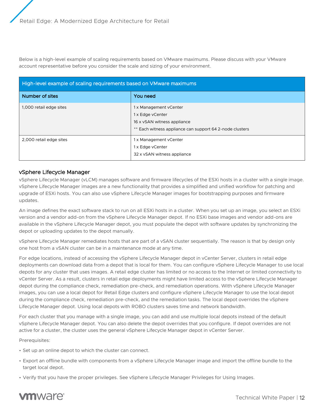Below is a high-level example of scaling requirements based on VMware maximums. Please discuss with your VMware account representative before you consider the scale and sizing of your environment.

| High-level example of scaling requirements based on VMware maximums |                                                                                                                                       |  |
|---------------------------------------------------------------------|---------------------------------------------------------------------------------------------------------------------------------------|--|
| Number of sites                                                     | You need                                                                                                                              |  |
| 1,000 retail edge sites                                             | 1 x Management vCenter<br>1 x Edge vCenter<br>16 x vSAN witness appliance<br>** Each witness appliance can support 64 2-node clusters |  |
| 2,000 retail edge sites                                             | 1 x Management vCenter<br>1 x Edge vCenter<br>32 x vSAN witness appliance                                                             |  |

#### vSphere Lifecycle Manager

vSphere Lifecycle Manager (vLCM) manages software and firmware lifecycles of the ESXi hosts in a cluster with a single image. vSphere Lifecycle Manager images are a new functionality that provides a simplified and unified workflow for patching and upgrade of ESXi hosts. You can also use vSphere Lifecycle Manager images for bootstrapping purposes and firmware updates.

An image defines the exact software stack to run on all ESXi hosts in a cluster. When you set up an image, you select an ESXi version and a vendor add-on from the vSphere Lifecycle Manager depot. If no ESXi base images and vendor add-ons are available in the vSphere Lifecycle Manager depot, you must populate the depot with software updates by synchronizing the depot or uploading updates to the depot manually.

vSphere Lifecycle Manager remediates hosts that are part of a vSAN cluster sequentially. The reason is that by design only one host from a vSAN cluster can be in a maintenance mode at any time.

For edge locations, instead of accessing the vSphere Lifecycle Manager depot in vCenter Server, clusters in retail edge deployments can download data from a depot that is local for them. You can configure vSphere Lifecycle Manager to use local depots for any cluster that uses images. A retail edge cluster has limited or no access to the Internet or limited connectivity to vCenter Server. As a result, clusters in retail edge deployments might have limited access to the vSphere Lifecycle Manager depot during the compliance check, remediation pre-check, and remediation operations. With vSphere Lifecycle Manager images, you can use a local depot for Retail Edge clusters and configure vSphere Lifecycle Manager to use the local depot during the compliance check, remediation pre-check, and the remediation tasks. The local depot overrides the vSphere Lifecycle Manager depot. Using local depots with ROBO clusters saves time and network bandwidth.

For each cluster that you manage with a single image, you can add and use multiple local depots instead of the default vSphere Lifecycle Manager depot. You can also delete the depot overrides that you configure. If depot overrides are not active for a cluster, the cluster uses the general vSphere Lifecycle Manager depot in vCenter Server.

Prerequisites:

- Set up an online depot to which the cluster can connect.
- Export an offline bundle with components from a vSphere Lifecycle Manager image and import the offline bundle to the target local depot.
- Verify that you have the proper privileges. See vSphere Lifecycle Manager Privileges for Using Images.

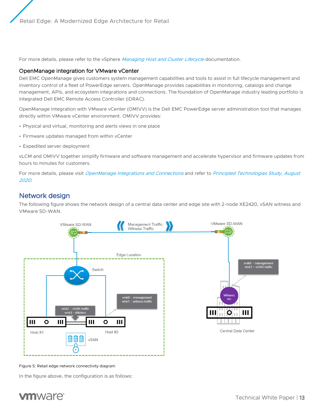Retail Edge: A Modernized Edge Architecture for Retail

For more details, please refer to the vSphere [Managing Host and Cluster Lifecycle](https://docs.vmware.com/en/VMware-vSphere/7.0/vsphere-esxi-vcenter-server-70-vsphere-lifecycle-manager.pdf) documentation.

#### OpenManage integration for VMware vCenter

Dell EMC OpenManage gives customers system management capabilities and tools to assist in full lifecycle management and inventory control of a fleet of PowerEdge servers. OpenManage provides capabilities in monitoring, catalogs and change management, APIs, and ecosystem integrations and connections. The foundation of OpenManage industry leading portfolio is integrated Dell EMC Remote Access Controller (iDRAC).

OpenManage Integration with VMware vCenter (OMIVV) is the Dell EMC PowerEdge server administration tool that manages directly within VMware vCenter environment. OMIVV provides:

- Physical and virtual, monitoring and alerts views in one place
- Firmware updates managed from within vCenter
- Expedited server deployment

vLCM and OMIVV together simplify firmware and software management and accelerate hypervisor and firmware updates from hours to minutes for customers.

For more details, please visit [OpenManage Integrations and Connections](https://www.dellemc.com/en-us/solutions/openmanage/integrations-and-connections.htm) and refer to Principled Technologies Study, August [2020](https://www.principledtechnologies.com/Dell/vSphere-7.0-update-compatibility-check-0820-v3.pdf).

# Network design

The following figure shows the network design of a central data center and edge site with 2-node XE2420, vSAN witness and VMware SD-WAN.



Figure 5: Retail edge network connectivity diagram

In the figure above, the configuration is as follows:

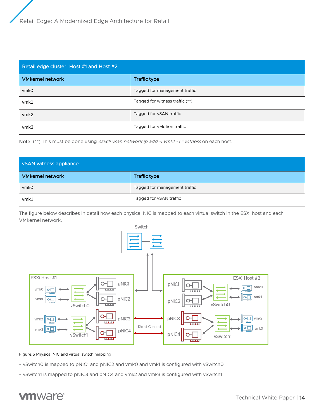| Retail edge cluster: Host #1 and Host #2 |                                 |  |
|------------------------------------------|---------------------------------|--|
| <b>VMkernel network</b>                  | <b>Traffic type</b>             |  |
| <b>vmkO</b>                              | Tagged for management traffic   |  |
| vmk1                                     | Tagged for witness traffic (**) |  |
| vmk <sub>2</sub>                         | Tagged for vSAN traffic         |  |
| vmk3                                     | Tagged for vMotion traffic      |  |

Note: (\*\*) This must be done using esxcli vsan network ip add -i vmk1 -T=witness on each host.

| vSAN witness appliance  |                               |  |
|-------------------------|-------------------------------|--|
| <b>VMkernel network</b> | Traffic type                  |  |
| <b>vmk0</b>             | Tagged for management traffic |  |
| vmk1                    | Tagged for vSAN traffic       |  |

The figure below describes in detail how each physical NIC is mapped to each virtual switch in the ESXi host and each VMkernel network.



Figure:6 Physical NIC and virtual switch mapping

- vSwitch0 is mapped to pNIC1 and pNIC2 and vmk0 and vmk1 is configured with vSwitch0
- vSwitch1 is mapped to pNIC3 and pNIC4 and vmk2 and vmk3 is configured with vSwitch1

# **vm**ware<sup>®</sup>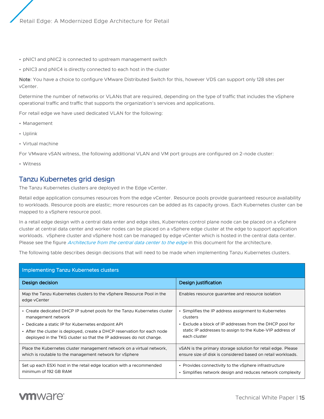- pNIC1 and pNIC2 is connected to upstream management switch
- pNIC3 and pNIC4 is directly connected to each host in the cluster

Note: You have a choice to configure VMware Distributed Switch for this, however VDS can support only 128 sites per vCenter.

Determine the number of networks or VLANs that are required, depending on the type of traffic that includes the vSphere operational traffic and traffic that supports the organization's services and applications.

For retail edge we have used dedicated VLAN for the following:

- Management
- Uplink
- Virtual machine

For VMware vSAN witness, the following additional VLAN and VM port groups are configured on 2-node cluster:

• Witness

# Tanzu Kubernetes grid design

The Tanzu Kubernetes clusters are deployed in the Edge vCenter.

Retail edge application consumes resources from the edge vCenter. Resource pools provide guaranteed resource availability to workloads. Resource pools are elastic; more resources can be added as its capacity grows. Each Kubernetes cluster can be mapped to a vSphere resource pool.

In a retail edge design with a central data enter and edge sites, Kubernetes control plane node can be placed on a vSphere cluster at central data center and worker nodes can be placed on a vSphere edge cluster at the edge to support application workloads. vSphere cluster and vSphere host can be managed by edge vCenter which is hosted in the central data center. Please see the figure *[Architecture from the central data center to the edge](#page-7-0)* in this document for the architecture.

The following table describes design decisions that will need to be made when implementing Tanzu Kubernetes clusters.

| <b>Implementing Tanzu Kubernetes clusters</b>                                         |                                                              |  |
|---------------------------------------------------------------------------------------|--------------------------------------------------------------|--|
| Design decision                                                                       | Design justification                                         |  |
| Map the Tanzu Kubernetes clusters to the vSphere Resource Pool in the<br>edge vCenter | Enables resource guarantee and resource isolation            |  |
| • Create dedicated DHCP IP subnet pools for the Tanzu Kubernetes cluster              | • Simplifies the IP address assignment to Kubernetes         |  |
| management network                                                                    | clusters                                                     |  |
| • Dedicate a static IP for Kubernetes endpoint API                                    | • Exclude a block of IP addresses from the DHCP pool for     |  |
| • After the cluster is deployed, create a DHCP reservation for each node              | static IP addresses to assign to the Kube-VIP address of     |  |
| deployed in the TKG cluster so that the IP addresses do not change.                   | each cluster                                                 |  |
| Place the Kubernetes cluster management network on a virtual network,                 | vSAN is the primary storage solution for retail edge. Please |  |
| which is routable to the management network for vSphere                               | ensure size of disk is considered based on retail workloads. |  |
| Set up each ESXI host in the retail edge location with a recommended                  | • Provides connectivity to the vSphere infrastructure        |  |
| minimum of 192 GB RAM                                                                 | • Simplifies network design and reduces network complexity   |  |

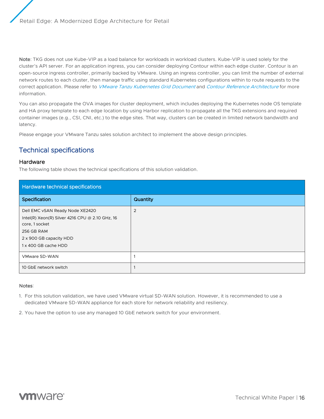Note: TKG does not use Kube-VIP as a load balance for workloads in workload clusters. Kube-VIP is used solely for the cluster's API server. For an application ingress, you can consider deploying Contour within each edge cluster. Contour is an open-source ingress controller, primarily backed by VMware. Using an ingress controller, you can limit the number of external network routes to each cluster, then manage traffic using standard Kubernetes configurations within to route requests to the correct application. Please refer to [VMware Tanzu Kubernetes Grid Document](https://docs.vmware.com/en/VMware-Tanzu-Kubernetes-Grid/1.3/vmware-tanzu-kubernetes-grid-13/GUID-extensions-ingress-contour.html) and [Contour Reference Architecture](https://tanzu.vmware.com/developer/guides/kubernetes/service-routing-contour-refarch/) for more information.

You can also propagate the OVA images for cluster deployment, which includes deploying the Kubernetes node OS template and HA proxy template to each edge location by using Harbor replication to propagate all the TKG extensions and required container images (e.g., CSI, CNI, etc.) to the edge sites. That way, clusters can be created in limited network bandwidth and latency.

Please engage your VMware Tanzu sales solution architect to implement the above design principles.

# <span id="page-15-0"></span>Technical specifications

#### Hardware

The following table shows the technical specifications of this solution validation.

| Hardware technical specifications                                                                                                                                     |                |  |
|-----------------------------------------------------------------------------------------------------------------------------------------------------------------------|----------------|--|
| Specification                                                                                                                                                         | Quantity       |  |
| Dell EMC vSAN Ready Node XE2420<br>Intel(R) Xeon(R) Silver 4216 CPU @ 2.10 GHz, 16<br>core, 1 socket<br>256 GB RAM<br>2 x 900 GB capacity HDD<br>1 x 400 GB cache HDD | $\overline{2}$ |  |
| VMware SD-WAN                                                                                                                                                         |                |  |
| 10 GbE network switch                                                                                                                                                 |                |  |

#### Notes:

- 1. For this solution validation, we have used VMware virtual SD-WAN solution. However, it is recommended to use a dedicated VMware SD-WAN appliance for each store for network reliability and resiliency.
- 2. You have the option to use any managed 10 GbE network switch for your environment.

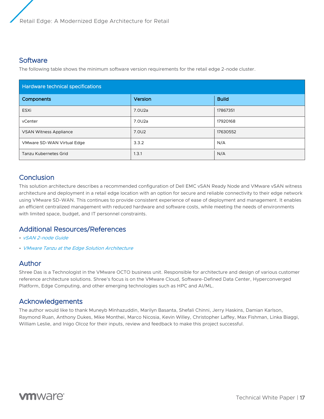### **Software**

The following table shows the minimum software version requirements for the retail edge 2-node cluster.

| <b>Hardware technical specifications</b> |         |              |  |
|------------------------------------------|---------|--------------|--|
| Components                               | Version | <b>Build</b> |  |
| ESXi                                     | 7.0U2a  | 17867351     |  |
| vCenter                                  | 7.0U2a  | 17920168     |  |
| <b>VSAN Witness Appliance</b>            | 7.0U2   | 17630552     |  |
| VMware SD-WAN Virtual Edge               | 3.3.2   | N/A          |  |
| <b>Tanzu Kubernetes Grid</b>             | 1.3.1   | N/A          |  |

# **Conclusion**

This solution architecture describes a recommended configuration of Dell EMC vSAN Ready Node and VMware vSAN witness architecture and deployment in a retail edge location with an option for secure and reliable connectivity to their edge network using VMware SD-WAN. This continues to provide consistent experience of ease of deployment and management. It enables an efficient centralized management with reduced hardware and software costs, while meeting the needs of environments with limited space, budget, and IT personnel constraints.

# Additional Resources/References

- [vSAN 2-node Guide](https://storagehub.vmware.com/t/vsan-2-node-guide/)
- [VMware Tanzu at the Edge Solution Architecture](https://tanzu.vmware.com/content/blog/vmware-tanzu-at-the-edge-solution-architecture-for-robo-topology)

### Author

Shree Das is a Technologist in the VMware OCTO business unit. Responsible for architecture and design of various customer reference architecture solutions. Shree's focus is on the VMware Cloud, Software-Defined Data Center, Hyperconverged Platform, Edge Computing, and other emerging technologies such as HPC and AI/ML.

# Acknowledgements

The author would like to thank Muneyb Minhazuddin, Marilyn Basanta, Shefali Chinni, Jerry Haskins, Damian Karlson, Raymond Ruan, Anthony Dukes, Mike Monthei, Marco Nicosia, Kevin Willey, Christopher Laffey, Max Fishman, Linka Biaggi, William Leslie, and Inigo Olcoz for their inputs, review and feedback to make this project successful.